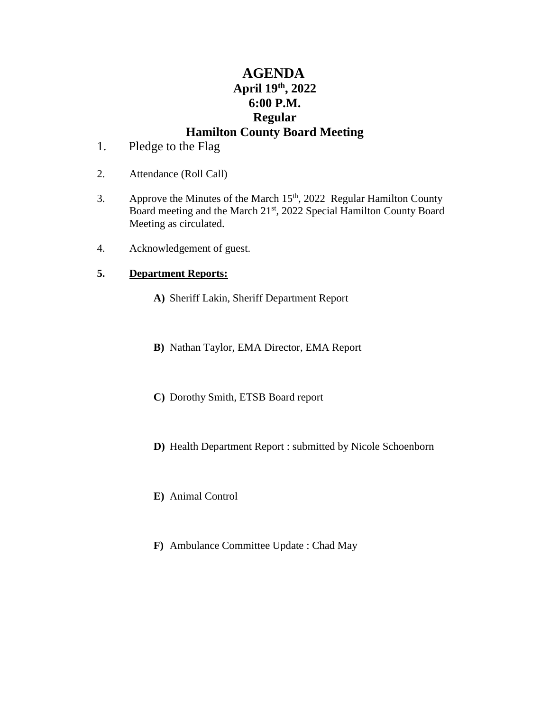# **AGENDA April 19th, 2022 6:00 P.M. Regular Hamilton County Board Meeting**

- 1. Pledge to the Flag
- 2. Attendance (Roll Call)
- 3. Approve the Minutes of the March 15<sup>th</sup>, 2022 Regular Hamilton County Board meeting and the March 21<sup>st</sup>, 2022 Special Hamilton County Board Meeting as circulated.
- 4. Acknowledgement of guest.

# **5. Department Reports:**

- **A)** Sheriff Lakin, Sheriff Department Report
- **B)** Nathan Taylor, EMA Director, EMA Report
- **C)** Dorothy Smith, ETSB Board report
- **D)** Health Department Report : submitted by Nicole Schoenborn
- **E)** Animal Control
- **F)** Ambulance Committee Update : Chad May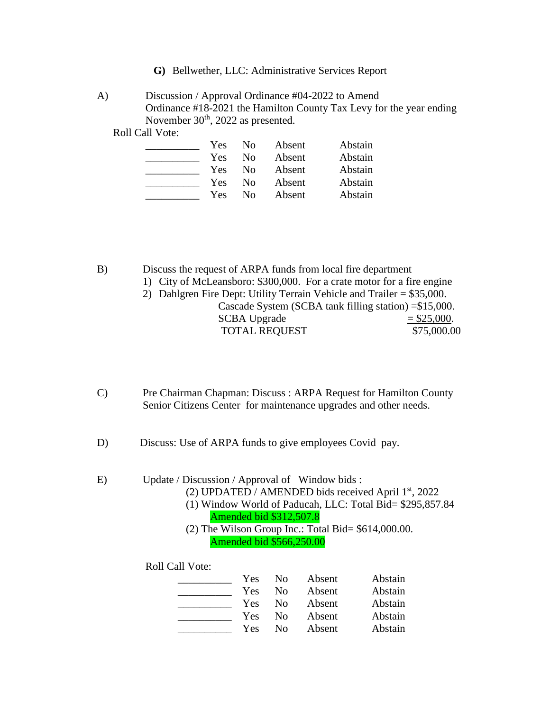**G)** Bellwether, LLC: Administrative Services Report

A) Discussion / Approval Ordinance #04-2022 to Amend Ordinance #18-2021 the Hamilton County Tax Levy for the year ending November 30<sup>th</sup>, 2022 as presented. Roll Call Vote:

| Yes | N <sub>0</sub> | Absent | Abstain |
|-----|----------------|--------|---------|
| Yes | Nο             | Absent | Abstain |
| Yes | No.            | Absent | Abstain |
| Yes | Nο             | Absent | Abstain |
| Yes | Nο             | Absent | Abstain |

B) Discuss the request of ARPA funds from local fire department

- 1) City of McLeansboro: \$300,000. For a crate motor for a fire engine
- 2) Dahlgren Fire Dept: Utility Terrain Vehicle and Trailer = \$35,000. Cascade System (SCBA tank filling station) =\$15,000.  $SCBA Upgrade$  = \$25,000. TOTAL REQUEST \$75,000.00
- C) Pre Chairman Chapman: Discuss : ARPA Request for Hamilton County Senior Citizens Center for maintenance upgrades and other needs.
- D) Discuss: Use of ARPA funds to give employees Covid pay.

E) Update / Discussion / Approval of Window bids :

- (2) UPDATED / AMENDED bids received April  $1<sup>st</sup>$ , 2022
	- (1) Window World of Paducah, LLC: Total Bid= \$295,857.84 Amended bid \$312,507.8
	- (2) The Wilson Group Inc.: Total Bid= \$614,000.00. Amended bid \$566,250.00

Roll Call Vote:

| Yes  | No.          | Absent | Abstain |
|------|--------------|--------|---------|
| Yes. | No.          | Absent | Abstain |
| Yes- | No.          | Absent | Abstain |
| Yes: | No.          | Absent | Abstain |
| Yes. | $N_{\Omega}$ | Absent | Abstain |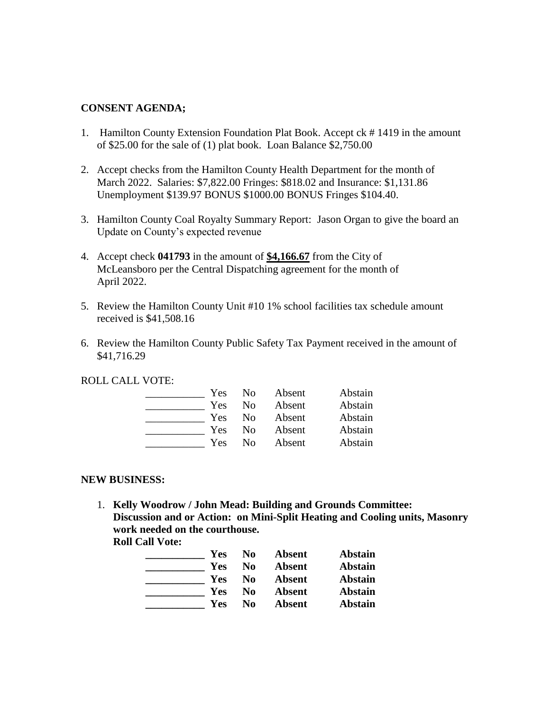## **CONSENT AGENDA;**

- 1. Hamilton County Extension Foundation Plat Book. Accept ck # 1419 in the amount of \$25.00 for the sale of (1) plat book. Loan Balance \$2,750.00
- 2. Accept checks from the Hamilton County Health Department for the month of March 2022. Salaries: \$7,822.00 Fringes: \$818.02 and Insurance: \$1,131.86 Unemployment \$139.97 BONUS \$1000.00 BONUS Fringes \$104.40.
- 3. Hamilton County Coal Royalty Summary Report: Jason Organ to give the board an Update on County's expected revenue
- 4. Accept check **041793** in the amount of **\$4,166.67** from the City of McLeansboro per the Central Dispatching agreement for the month of April 2022.
- 5. Review the Hamilton County Unit #10 1% school facilities tax schedule amount received is \$41,508.16
- 6. Review the Hamilton County Public Safety Tax Payment received in the amount of \$41,716.29

ROLL CALL VOTE:

| <b>Yes</b> | N <sub>0</sub> | Absent | Abstain |
|------------|----------------|--------|---------|
| Yes        | No             | Absent | Abstain |
| Yes        | N <sub>0</sub> | Absent | Abstain |
| Yes        | Nο             | Absent | Abstain |
| Yes        | Nο             | Absent | Abstain |

#### **NEW BUSINESS:**

1. **Kelly Woodrow / John Mead: Building and Grounds Committee: Discussion and or Action: on Mini-Split Heating and Cooling units, Masonry work needed on the courthouse. Roll Call Vote:**

| Yes | No | <b>Absent</b> | <b>Abstain</b> |
|-----|----|---------------|----------------|
| Yes | No | <b>Absent</b> | <b>Abstain</b> |
| Yes | No | Absent        | <b>Abstain</b> |
| Yes | No | Absent        | <b>Abstain</b> |
| Yes | No | Absent        | <b>Abstain</b> |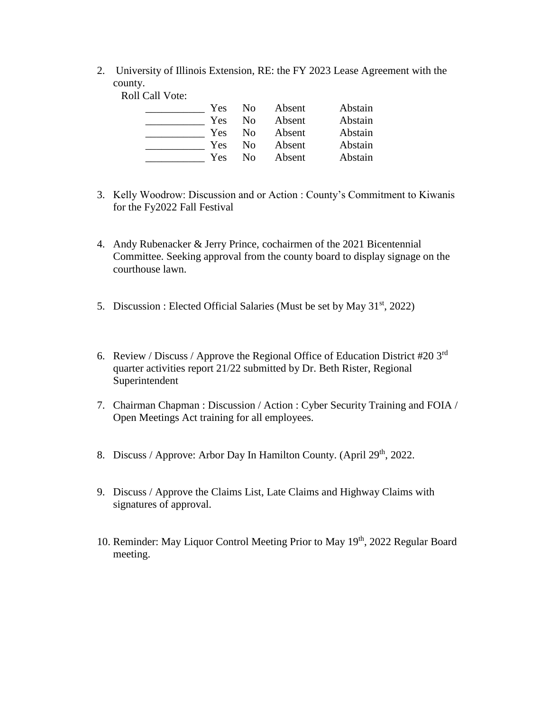2. University of Illinois Extension, RE: the FY 2023 Lease Agreement with the county.

Roll Call Vote:

| Yes        | No. | Absent | Abstain |
|------------|-----|--------|---------|
| <b>Yes</b> | Nο  | Absent | Abstain |
| <b>Yes</b> | Nο  | Absent | Abstain |
| <b>Yes</b> | Nο  | Absent | Abstain |
| Yes        | Nο  | Absent | Abstain |

- 3. Kelly Woodrow: Discussion and or Action : County's Commitment to Kiwanis for the Fy2022 Fall Festival
- 4. Andy Rubenacker & Jerry Prince, cochairmen of the 2021 Bicentennial Committee. Seeking approval from the county board to display signage on the courthouse lawn.
- 5. Discussion : Elected Official Salaries (Must be set by May  $31<sup>st</sup>$ , 2022)
- 6. Review / Discuss / Approve the Regional Office of Education District #20 3rd quarter activities report 21/22 submitted by Dr. Beth Rister, Regional Superintendent
- 7. Chairman Chapman : Discussion / Action : Cyber Security Training and FOIA / Open Meetings Act training for all employees.
- 8. Discuss / Approve: Arbor Day In Hamilton County. (April 29<sup>th</sup>, 2022.
- 9. Discuss / Approve the Claims List, Late Claims and Highway Claims with signatures of approval.
- 10. Reminder: May Liquor Control Meeting Prior to May 19<sup>th</sup>, 2022 Regular Board meeting.